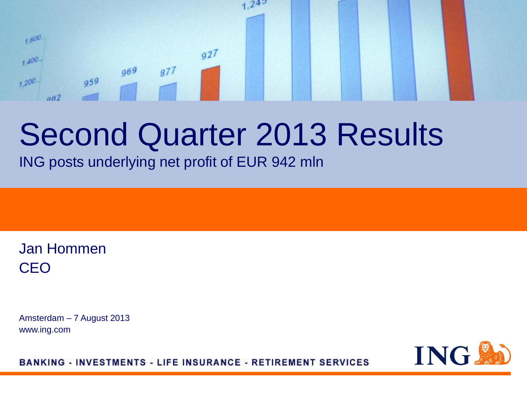#### $24^{5}$  $1,600$  $927$  $1.400 969$  $877$  $959$  $+200$  $002$

## Second Quarter 2013 Results

ING posts underlying net profit of EUR 942 mln

Jan Hommen CEO

Amsterdam – 7 August 2013 www.ing.com

ING.

**BANKING - INVESTMENTS - LIFE INSURANCE - RETIREMENT SERVICES**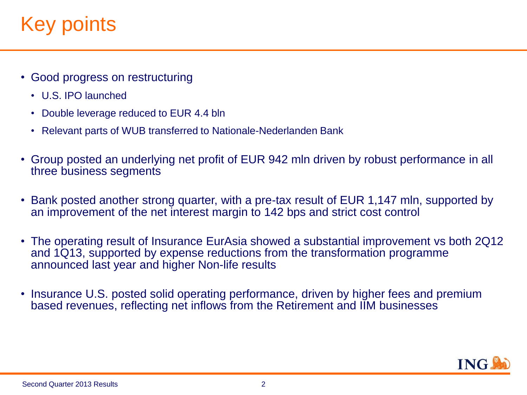### Key points.

- Good progress on restructuring
	- U.S. IPO launched
	- Double leverage reduced to EUR 4.4 bln
	- Relevant parts of WUB transferred to Nationale-Nederlanden Bank
- Group posted an underlying net profit of EUR 942 mln driven by robust performance in all three business segments
- Bank posted another strong quarter, with a pre-tax result of EUR 1,147 mln, supported by an improvement of the net interest margin to 142 bps and strict cost control
- The operating result of Insurance EurAsia showed a substantial improvement vs both 2Q12 and 1Q13, supported by expense reductions from the transformation programme announced last year and higher Non-life results
- Insurance U.S. posted solid operating performance, driven by higher fees and premium based revenues, reflecting net inflows from the Retirement and IIM businesses

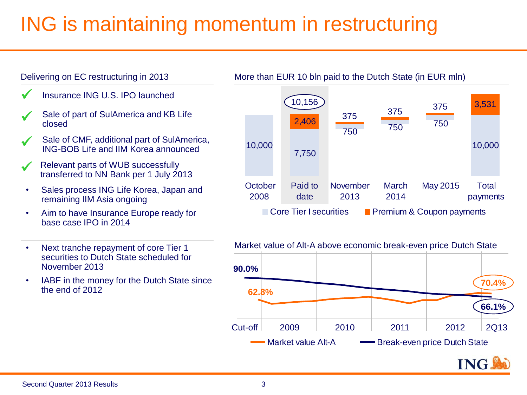### ING is maintaining momentum in restructuring

#### Delivering on EC restructuring in 2013

#### Insurance ING U.S. IPO launched

- Sale of part of SulAmerica and KB Life closed
- Sale of CMF, additional part of SulAmerica, ING-BOB Life and IIM Korea announced
- Relevant parts of WUB successfully transferred to NN Bank per 1 July 2013
- Sales process ING Life Korea, Japan and remaining IIM Asia ongoing
- Aim to have Insurance Europe ready for base case IPO in 2014
- Next tranche repayment of core Tier 1 securities to Dutch State scheduled for November 2013
- IABF in the money for the Dutch State since the end of 2012

More than EUR 10 bln paid to the Dutch State (in EUR mln)



Market value of Alt-A above economic break-even price Dutch State

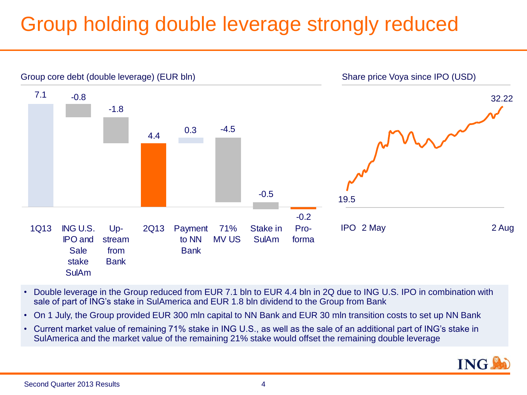### Group holding double leverage strongly reduced



- Double leverage in the Group reduced from EUR 7.1 bln to EUR 4.4 bln in 2Q due to ING U.S. IPO in combination with sale of part of ING's stake in SulAmerica and EUR 1.8 bln dividend to the Group from Bank
- On 1 July, the Group provided EUR 300 mln capital to NN Bank and EUR 30 mln transition costs to set up NN Bank
- Current market value of remaining 71% stake in ING U.S., as well as the sale of an additional part of ING's stake in SulAmerica and the market value of the remaining 21% stake would offset the remaining double leverage

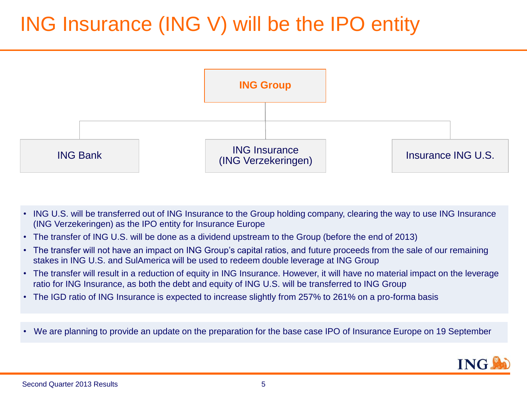### ING Insurance (ING V) will be the IPO entity



- ING U.S. will be transferred out of ING Insurance to the Group holding company, clearing the way to use ING Insurance (ING Verzekeringen) as the IPO entity for Insurance Europe
- The transfer of ING U.S. will be done as a dividend upstream to the Group (before the end of 2013)
- The transfer will not have an impact on ING Group's capital ratios, and future proceeds from the sale of our remaining stakes in ING U.S. and SulAmerica will be used to redeem double leverage at ING Group
- The transfer will result in a reduction of equity in ING Insurance. However, it will have no material impact on the leverage ratio for ING Insurance, as both the debt and equity of ING U.S. will be transferred to ING Group
- The IGD ratio of ING Insurance is expected to increase slightly from 257% to 261% on a pro-forma basis
- We are planning to provide an update on the preparation for the base case IPO of Insurance Europe on 19 September

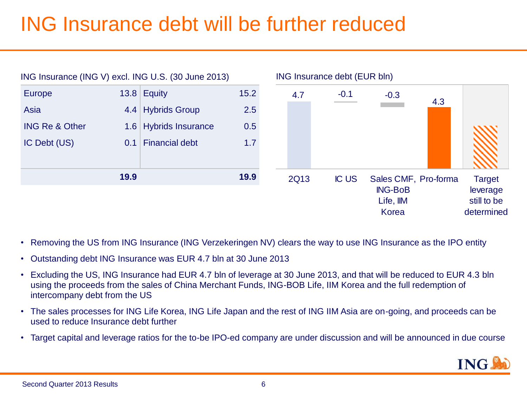### ING Insurance debt will be further reduced



- Removing the US from ING Insurance (ING Verzekeringen NV) clears the way to use ING Insurance as the IPO entity
- Outstanding debt ING Insurance was EUR 4.7 bln at 30 June 2013
- Excluding the US, ING Insurance had EUR 4.7 bln of leverage at 30 June 2013, and that will be reduced to EUR 4.3 bln using the proceeds from the sales of China Merchant Funds, ING-BOB Life, IIM Korea and the full redemption of intercompany debt from the US
- The sales processes for ING Life Korea, ING Life Japan and the rest of ING IIM Asia are on-going, and proceeds can be used to reduce Insurance debt further
- Target capital and leverage ratios for the to-be IPO-ed company are under discussion and will be announced in due course

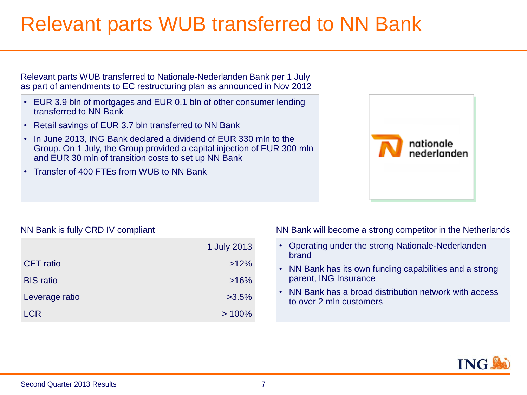#### Relevant parts WUB transferred to NN Bank

Relevant parts WUB transferred to Nationale-Nederlanden Bank per 1 July as part of amendments to EC restructuring plan as announced in Nov 2012

- EUR 3.9 bln of mortgages and EUR 0.1 bln of other consumer lending transferred to NN Bank
- Retail savings of EUR 3.7 bln transferred to NN Bank
- In June 2013, ING Bank declared a dividend of EUR 330 mln to the Group. On 1 July, the Group provided a capital injection of EUR 300 mln and EUR 30 mln of transition costs to set up NN Bank
- Transfer of 400 FTEs from WUB to NN Bank



#### NN Bank is fully CRD IV compliant

|                  | 1 July 2013 |
|------------------|-------------|
| <b>CET</b> ratio | >12%        |
| <b>BIS</b> ratio | >16%        |
| Leverage ratio   | $>3.5\%$    |
| <b>LCR</b>       | >100%       |

NN Bank will become a strong competitor in the Netherlands

- Operating under the strong Nationale-Nederlanden brand
- NN Bank has its own funding capabilities and a strong parent, ING Insurance
- NN Bank has a broad distribution network with access to over 2 mln customers

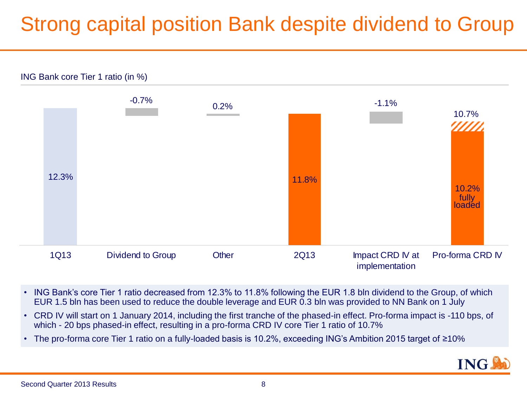### Strong capital position Bank despite dividend to Group



- ING Bank's core Tier 1 ratio decreased from 12.3% to 11.8% following the EUR 1.8 bln dividend to the Group, of which EUR 1.5 bln has been used to reduce the double leverage and EUR 0.3 bln was provided to NN Bank on 1 July
- CRD IV will start on 1 January 2014, including the first tranche of the phased-in effect. Pro-forma impact is -110 bps, of which - 20 bps phased-in effect, resulting in a pro-forma CRD IV core Tier 1 ratio of 10.7%
- The pro-forma core Tier 1 ratio on a fully-loaded basis is 10.2%, exceeding ING's Ambition 2015 target of ≥10%

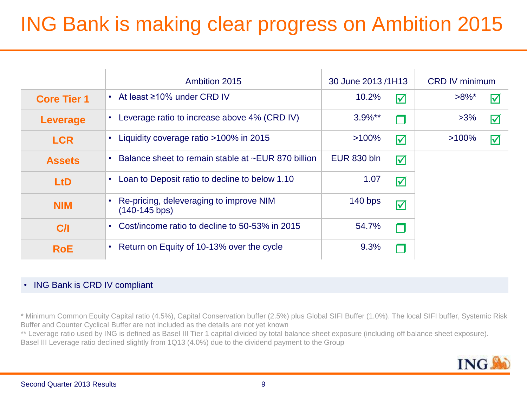### ING Bank is making clear progress on Ambition 2015

|                    | Ambition 2015                                              | 30 June 2013/1H13  |                         | <b>CRD IV minimum</b> |                         |
|--------------------|------------------------------------------------------------|--------------------|-------------------------|-----------------------|-------------------------|
| <b>Core Tier 1</b> | • At least ≥10% under CRD IV                               | 10.2%              | $\overline{\mathbf{V}}$ | $>8\%$ *              | $\overline{\mathsf{v}}$ |
| Leverage           | Leverage ratio to increase above 4% (CRD IV)               | $3.9\%**$          |                         | >3%                   | $\overline{\mathbf{v}}$ |
| <b>LCR</b>         | Liquidity coverage ratio >100% in 2015                     | $>100\%$           | $\blacktriangledown$    | >100%                 | $\overline{\mathbf{v}}$ |
| <b>Assets</b>      | Balance sheet to remain stable at ~EUR 870 billion         | <b>EUR 830 bln</b> | $\blacktriangledown$    |                       |                         |
| <b>LtD</b>         | Loan to Deposit ratio to decline to below 1.10             | 1.07               | $\overline{\mathbf{v}}$ |                       |                         |
| <b>NIM</b>         | Re-pricing, deleveraging to improve NIM<br>$(140-145$ bps) | <b>140 bps</b>     | $\blacktriangledown$    |                       |                         |
| C/I                | Cost/income ratio to decline to 50-53% in 2015             | 54.7%              | П                       |                       |                         |
| <b>RoE</b>         | Return on Equity of 10-13% over the cycle                  | 9.3%               |                         |                       |                         |

#### • ING Bank is CRD IV compliant

\* Minimum Common Equity Capital ratio (4.5%), Capital Conservation buffer (2.5%) plus Global SIFI Buffer (1.0%). The local SIFI buffer, Systemic Risk Buffer and Counter Cyclical Buffer are not included as the details are not yet known

\*\* Leverage ratio used by ING is defined as Basel III Tier 1 capital divided by total balance sheet exposure (including off balance sheet exposure). Basel III Leverage ratio declined slightly from 1Q13 (4.0%) due to the dividend payment to the Group

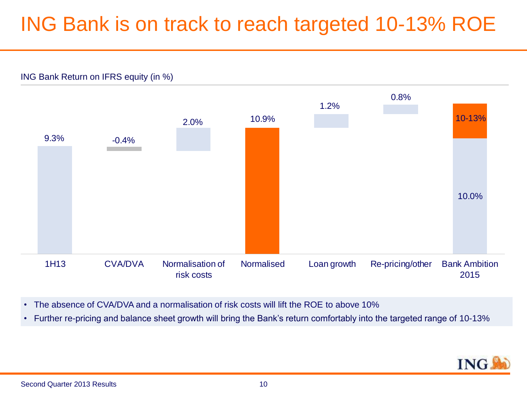### ING Bank is on track to reach targeted 10-13% ROE



Second Quarter 2013 Results

**ING** 

• Further re-pricing and balance sheet growth will bring the Bank's return comfortably into the targeted range of 10-13%

• The absence of CVA/DVA and a normalisation of risk costs will lift the ROE to above 10%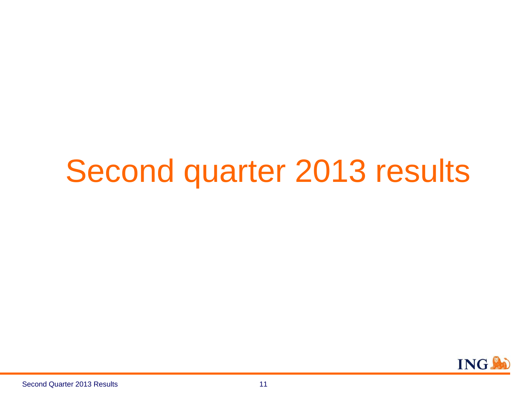## Second quarter 2013 results

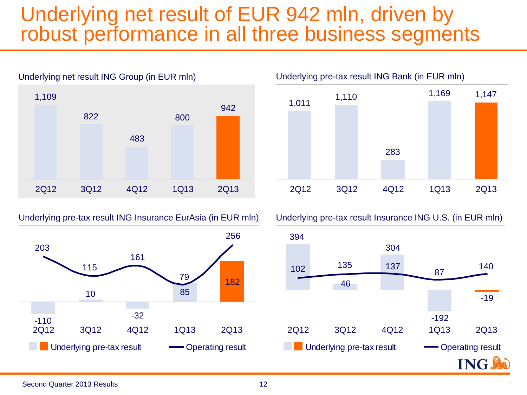#### Underlying net result of EUR 942 mln, driven by robust performance in all three business segments



Underlying net result ING Group (in EUR mln)

Underlying pre-tax result ING Insurance EurAsia (in EUR mln) Underlying pre-tax result Insurance ING U.S. (in EUR mln)





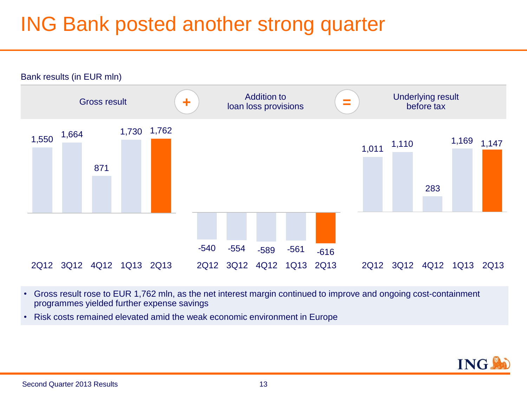#### ING Bank posted another strong quarter



- Gross result rose to EUR 1,762 mln, as the net interest margin continued to improve and ongoing cost-containment programmes yielded further expense savings
- Risk costs remained elevated amid the weak economic environment in Europe

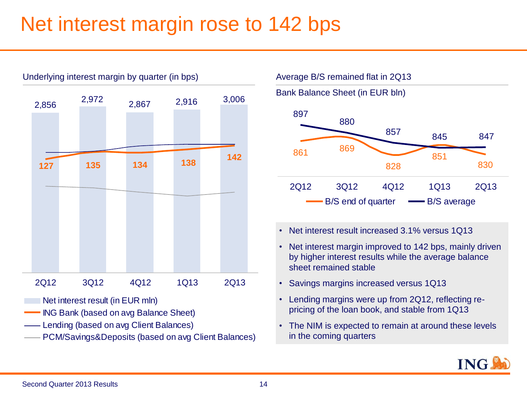#### Net interest margin rose to 142 bps



Underlying interest margin by quarter (in bps)

- Net interest result (in EUR mln)
- ING Bank (based on avg Balance Sheet)
- Lending (based on avg Client Balances)
- PCM/Savings&Deposits (based on avg Client Balances)

Average B/S remained flat in 2Q13 Bank Balance Sheet (in EUR bln)



- Net interest result increased 3.1% versus 1Q13
- Net interest margin improved to 142 bps, mainly driven by higher interest results while the average balance sheet remained stable
- Savings margins increased versus 1Q13
- Lending margins were up from 2Q12, reflecting repricing of the loan book, and stable from 1Q13
- The NIM is expected to remain at around these levels in the coming quarters

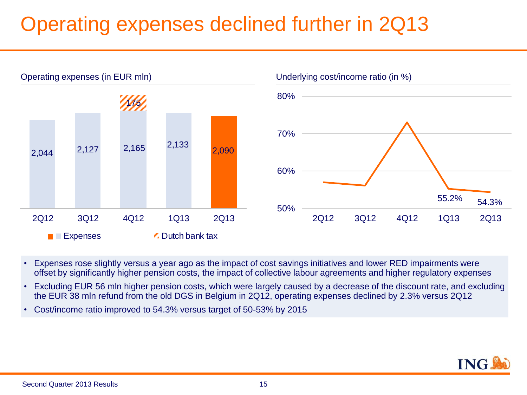### Operating expenses declined further in 2Q13



- Expenses rose slightly versus a year ago as the impact of cost savings initiatives and lower RED impairments were offset by significantly higher pension costs, the impact of collective labour agreements and higher regulatory expenses
- Excluding EUR 56 mln higher pension costs, which were largely caused by a decrease of the discount rate, and excluding the EUR 38 mln refund from the old DGS in Belgium in 2Q12, operating expenses declined by 2.3% versus 2Q12
- Cost/income ratio improved to 54.3% versus target of 50-53% by 2015

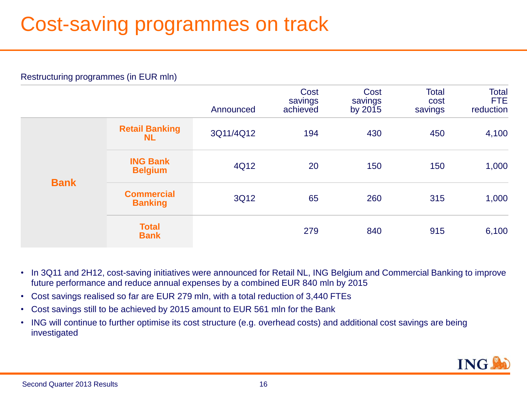#### Cost-saving programmes on track

|             |                                     | Announced | Cost<br>savings<br>achieved | Cost<br>savings<br>by $20\bar{1}5$ | <b>Total</b><br>cost<br>savings | Total<br><b>FTE</b><br>reduction |
|-------------|-------------------------------------|-----------|-----------------------------|------------------------------------|---------------------------------|----------------------------------|
|             | <b>Retail Banking</b><br><b>NL</b>  | 3Q11/4Q12 | 194                         | 430                                | 450                             | 4,100                            |
| <b>Bank</b> | <b>ING Bank</b><br><b>Belgium</b>   | 4Q12      | 20                          | 150                                | 150                             | 1,000                            |
|             | <b>Commercial</b><br><b>Banking</b> | 3Q12      | 65                          | 260                                | 315                             | 1,000                            |
|             | <b>Total</b><br><b>Bank</b>         |           | 279                         | 840                                | 915                             | 6,100                            |

#### Restructuring programmes (in EUR mln)

- In 3Q11 and 2H12, cost-saving initiatives were announced for Retail NL, ING Belgium and Commercial Banking to improve future performance and reduce annual expenses by a combined EUR 840 mln by 2015
- Cost savings realised so far are EUR 279 mln, with a total reduction of 3,440 FTEs
- Cost savings still to be achieved by 2015 amount to EUR 561 mln for the Bank
- ING will continue to further optimise its cost structure (e.g. overhead costs) and additional cost savings are being investigated

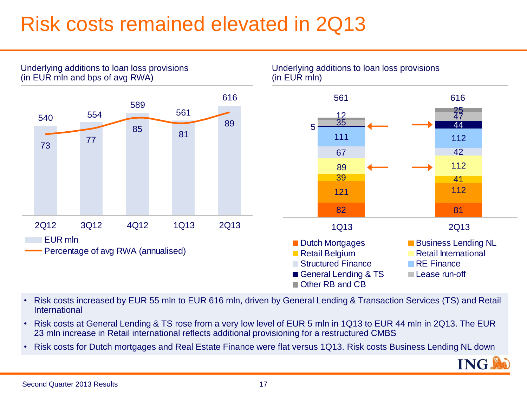#### Risk costs remained elevated in 2Q13



- Risk costs increased by EUR 55 mln to EUR 616 mln, driven by General Lending & Transaction Services (TS) and Retail International
- Risk costs at General Lending & TS rose from a very low level of EUR 5 mln in 1Q13 to EUR 44 mln in 2Q13. The EUR 23 mln increase in Retail international reflects additional provisioning for a restructured CMBS
- Risk costs for Dutch mortgages and Real Estate Finance were flat versus 1Q13. Risk costs Business Lending NL down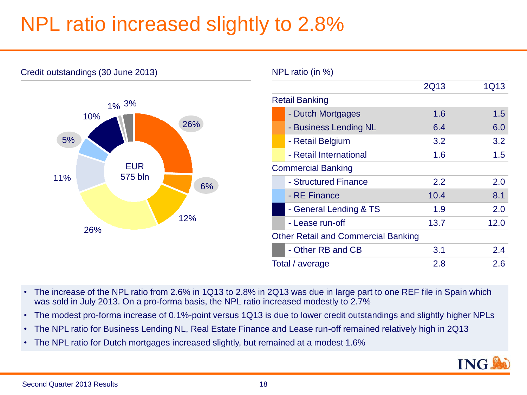#### NPL ratio increased slightly to 2.8%



NPL ratio (in %)

|                                            | 2Q13 | 1Q13 |
|--------------------------------------------|------|------|
| <b>Retail Banking</b>                      |      |      |
| - Dutch Mortgages                          | 1.6  | 1.5  |
| - Business Lending NL                      | 6.4  | 6.0  |
| - Retail Belgium                           | 3.2  | 3.2  |
| - Retail International                     | 1.6  | 1.5  |
| <b>Commercial Banking</b>                  |      |      |
| - Structured Finance                       | 2.2  | 2.0  |
| - RE Finance                               | 10.4 | 8.1  |
| - General Lending & TS                     | 1.9  | 2.0  |
| - Lease run-off                            | 13.7 | 12.0 |
| <b>Other Retail and Commercial Banking</b> |      |      |
| - Other RB and CB                          | 3.1  | 2.4  |
| Total / average                            | 2.8  | 2.6  |
|                                            |      |      |

- The increase of the NPL ratio from 2.6% in 1Q13 to 2.8% in 2Q13 was due in large part to one REF file in Spain which was sold in July 2013. On a pro-forma basis, the NPL ratio increased modestly to 2.7%
- The modest pro-forma increase of 0.1%-point versus 1Q13 is due to lower credit outstandings and slightly higher NPLs
- The NPL ratio for Business Lending NL, Real Estate Finance and Lease run-off remained relatively high in 2Q13
- The NPL ratio for Dutch mortgages increased slightly, but remained at a modest 1.6%

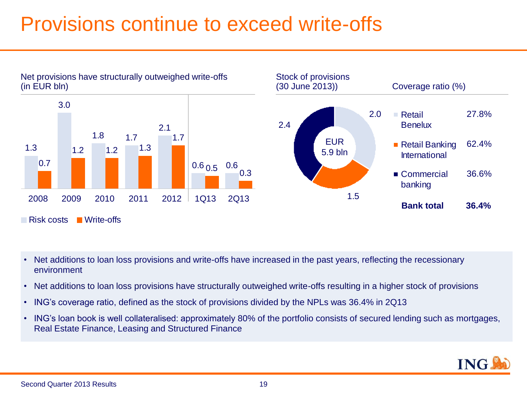#### Provisions continue to exceed write-offs



- Net additions to loan loss provisions and write-offs have increased in the past years, reflecting the recessionary environment
- Net additions to loan loss provisions have structurally outweighed write-offs resulting in a higher stock of provisions
- ING's coverage ratio, defined as the stock of provisions divided by the NPLs was 36.4% in 2Q13
- ING's loan book is well collateralised: approximately 80% of the portfolio consists of secured lending such as mortgages, Real Estate Finance, Leasing and Structured Finance

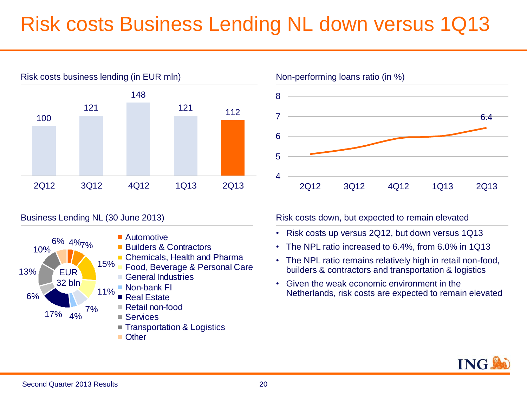### Risk costs Business Lending NL down versus 1Q13



Business Lending NL (30 June 2013)





Risk costs down, but expected to remain elevated

- Risk costs up versus 2Q12, but down versus 1Q13
- The NPL ratio increased to 6.4%, from 6.0% in 1Q13
- The NPL ratio remains relatively high in retail non-food, builders & contractors and transportation & logistics
- Given the weak economic environment in the Netherlands, risk costs are expected to remain elevated

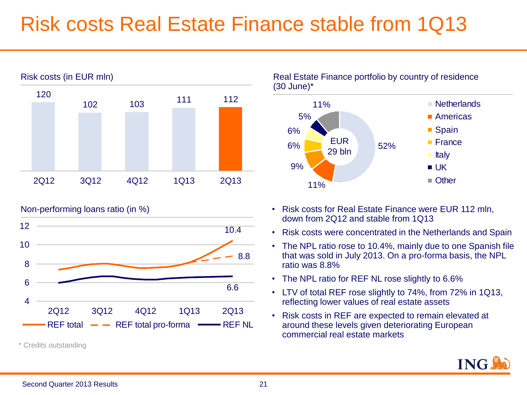#### Risk costs Real Estate Finance stable from 1Q13





\* Credits outstanding

(30 June)\*



- Non-performing loans ratio (in %)  $\bullet$  Risk costs for Real Estate Finance were EUR 112 mln, down from 2Q12 and stable from 1Q13
	- Risk costs were concentrated in the Netherlands and Spain
	- The NPL ratio rose to 10.4%, mainly due to one Spanish file that was sold in July 2013. On a pro-forma basis, the NPL ratio was 8.8%
	- The NPL ratio for REF NL rose slightly to 6.6%
	- LTV of total REF rose slightly to 74%, from 72% in 1Q13, reflecting lower values of real estate assets
	- Risk costs in REF are expected to remain elevated at around these levels given deteriorating European commercial real estate markets

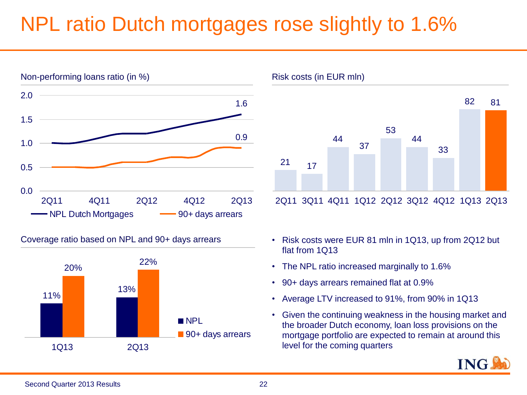#### NPL ratio Dutch mortgages rose slightly to 1.6%



Coverage ratio based on NPL and 90+ days arrears







- The NPL ratio increased marginally to 1.6%
- 90+ days arrears remained flat at 0.9%
- Average LTV increased to 91%, from 90% in 1Q13
- Given the continuing weakness in the housing market and the broader Dutch economy, loan loss provisions on the mortgage portfolio are expected to remain at around this

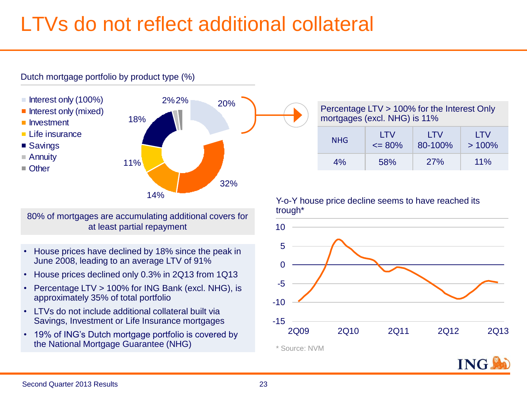#### LTVs do not reflect additional collateral

Dutch mortgage portfolio by product type (%)

- 
- Interest only (mixed)
- **Investment**
- $\blacksquare$  Life insurance
- Savings
- Annuity
- Other



80% of mortgages are accumulating additional covers for at least partial repayment

- House prices have declined by 18% since the peak in June 2008, leading to an average LTV of 91%
- House prices declined only 0.3% in 2Q13 from 1Q13
- Percentage LTV > 100% for ING Bank (excl. NHG), is approximately 35% of total portfolio
- LTVs do not include additional collateral built via Savings, Investment or Life Insurance mortgages
- 19% of ING's Dutch mortgage portfolio is covered by the National Mortgage Guarantee (NHG)

#### Percentage LTV > 100% for the Interest Only mortgages (excl. NHG) is 11%

| <b>NHG</b> | I TV       | <b>ITV</b> | I TV     |
|------------|------------|------------|----------|
|            | $\leq$ 80% | 80-100%    | $>100\%$ |
| $4\%$      | 58%        | <b>27%</b> | $11\%$   |

#### Y-o-Y house price decline seems to have reached its trough\*



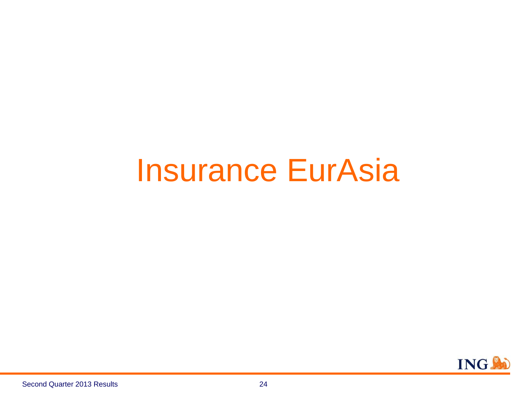## Insurance EurAsia

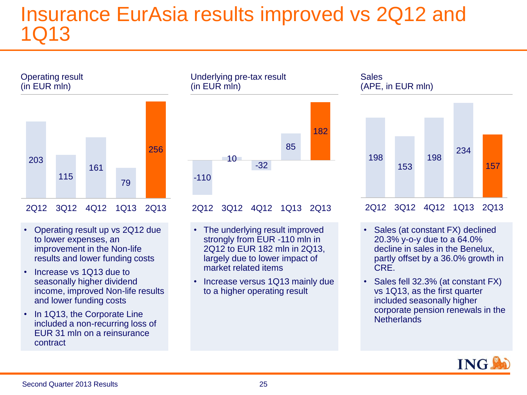#### Insurance EurAsia results improved vs 2Q12 and 1Q13



Operating result

- Operating result up vs 2Q12 due to lower expenses, an improvement in the Non-life results and lower funding costs
- Increase vs 1Q13 due to seasonally higher dividend income, improved Non-life results and lower funding costs
- In 1Q13, the Corporate Line included a non-recurring loss of EUR 31 mln on a reinsurance contract



- The underlying result improved strongly from EUR -110 mln in 2Q12 to EUR 182 mln in 2Q13, largely due to lower impact of market related items
- Increase versus 1Q13 mainly due to a higher operating result



- Sales (at constant FX) declined 20.3% y-o-y due to a 64.0% decline in sales in the Benelux, partly offset by a 36.0% growth in CRE.
- Sales fell 32.3% (at constant FX) vs 1Q13, as the first quarter included seasonally higher corporate pension renewals in the **Netherlands**

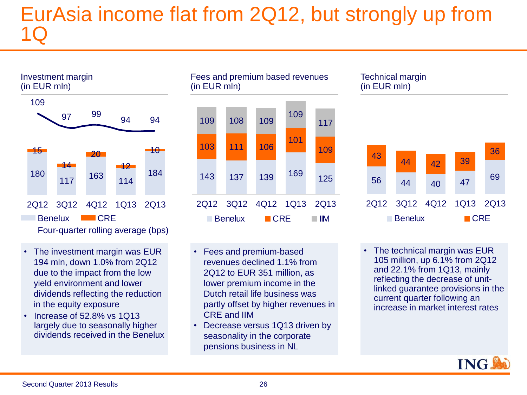#### EurAsia income flat from 2Q12, but strongly up from 1Q



- The investment margin was EUR 194 mln, down 1.0% from 2Q12 due to the impact from the low yield environment and lower dividends reflecting the reduction in the equity exposure
- Increase of 52.8% vs 1Q13 largely due to seasonally higher dividends received in the Benelux



- Fees and premium-based revenues declined 1.1% from 2Q12 to EUR 351 million, as lower premium income in the Dutch retail life business was partly offset by higher revenues in CRE and IIM
- Decrease versus 1Q13 driven by seasonality in the corporate pensions business in NL



- 56 44 40 47 69 44 40 47 36 2Q12 3Q12 4Q12 1Q13 2Q13 Benelux **CRE**
- The technical margin was EUR 105 million, up 6.1% from 2Q12 and 22.1% from 1Q13, mainly reflecting the decrease of unitlinked guarantee provisions in the current quarter following an increase in market interest rates

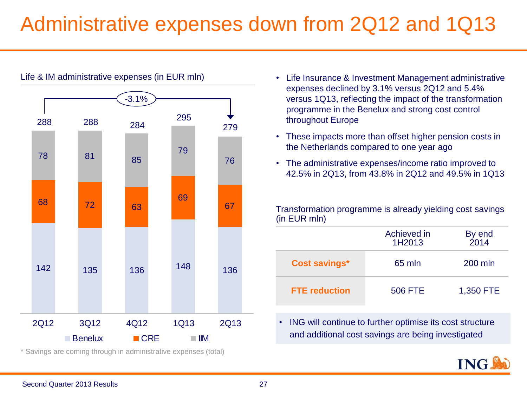#### Administrative expenses down from 2Q12 and 1Q13



Life & IM administrative expenses (in EUR mln)

\* Savings are coming through in administrative expenses (total)

- Life Insurance & Investment Management administrative expenses declined by 3.1% versus 2Q12 and 5.4% versus 1Q13, reflecting the impact of the transformation programme in the Benelux and strong cost control throughout Europe
- These impacts more than offset higher pension costs in the Netherlands compared to one year ago
- The administrative expenses/income ratio improved to 42.5% in 2Q13, from 43.8% in 2Q12 and 49.5% in 1Q13

Transformation programme is already yielding cost savings (in EUR mln)

|                      | Achieved in<br>1H2013 | By end<br>2014 |
|----------------------|-----------------------|----------------|
| Cost savings*        | $65$ mln              | 200 mln        |
| <b>FTE</b> reduction | <b>506 FTE</b>        | 1,350 FTE      |

• ING will continue to further optimise its cost structure and additional cost savings are being investigated

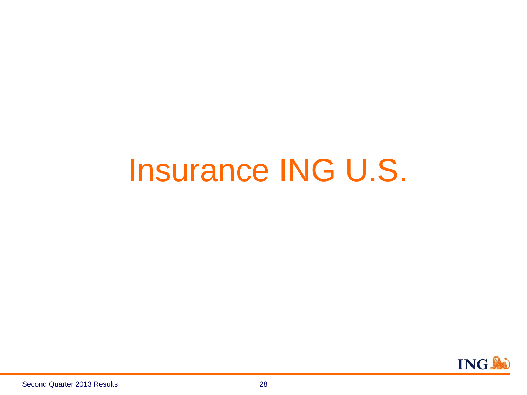## Insurance ING U.S.

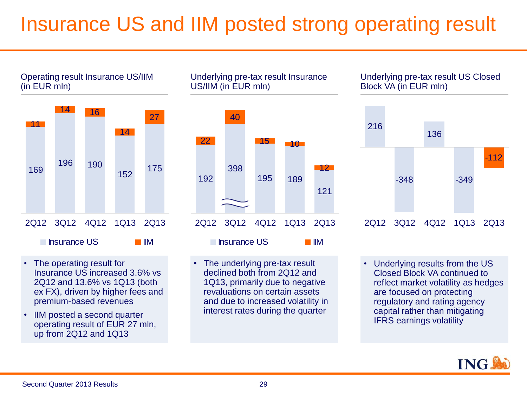### Insurance US and IIM posted strong operating result

Operating result Insurance US/IIM (in EUR mln)



- The operating result for Insurance US increased 3.6% vs 2Q12 and 13.6% vs 1Q13 (both ex FX), driven by higher fees and premium-based revenues
- IIM posted a second quarter operating result of EUR 27 mln, up from 2Q12 and 1Q13

Underlying pre-tax result Insurance US/IIM (in EUR mln)



• The underlying pre-tax result declined both from 2Q12 and 1Q13, primarily due to negative revaluations on certain assets and due to increased volatility in interest rates during the quarter

• Underlying results from the US Closed Block VA continued to reflect market volatility as hedges are focused on protecting regulatory and rating agency capital rather than mitigating IFRS earnings volatility

2Q12 3Q12 4Q12 1Q13 2Q13

Underlying pre-tax result US Closed

136

-349

-112

Block VA (in EUR mln)

-348

216

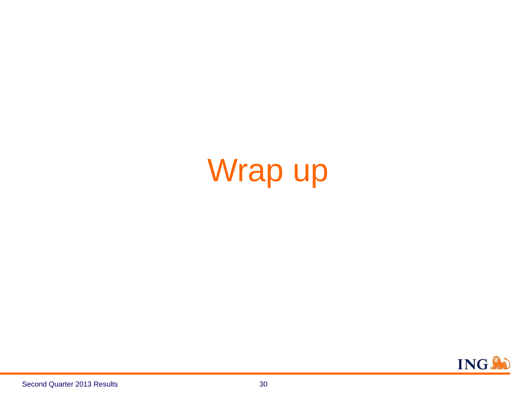# Wrap up

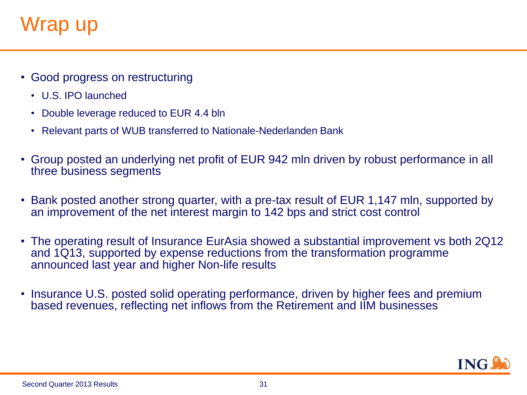#### Wrap up

- Good progress on restructuring
	- U.S. IPO launched
	- Double leverage reduced to EUR 4.4 bln
	- Relevant parts of WUB transferred to Nationale-Nederlanden Bank
- Group posted an underlying net profit of EUR 942 mln driven by robust performance in all three business segments
- Bank posted another strong quarter, with a pre-tax result of EUR 1,147 mln, supported by an improvement of the net interest margin to 142 bps and strict cost control
- The operating result of Insurance EurAsia showed a substantial improvement vs both 2Q12 and 1Q13, supported by expense reductions from the transformation programme announced last year and higher Non-life results
- Insurance U.S. posted solid operating performance, driven by higher fees and premium based revenues, reflecting net inflows from the Retirement and IIM businesses

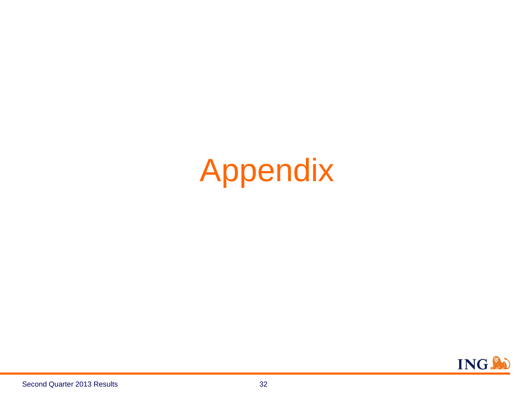# Appendix

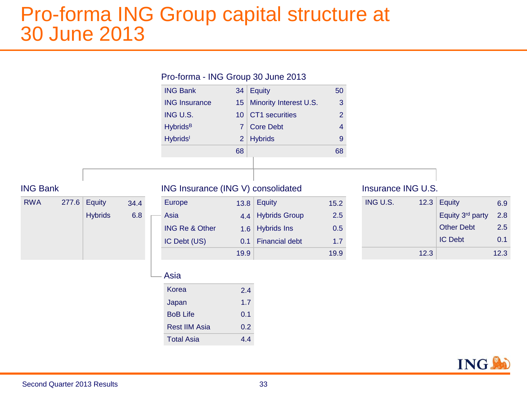#### Pro-forma ING Group capital structure at 30 June 2013



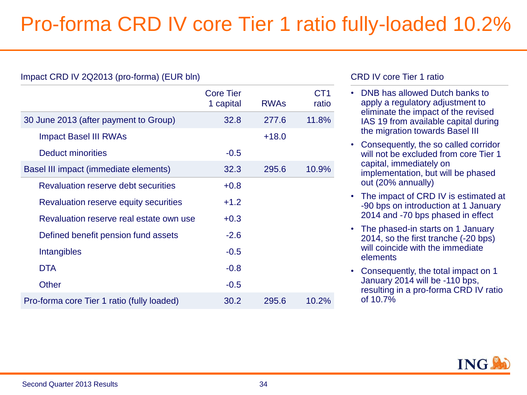### Pro-forma CRD IV core Tier 1 ratio fully-loaded 10.2%

| Impact CRD IV 2Q2013 (pro-forma) (EUR bln) |                               |             |                          |  |
|--------------------------------------------|-------------------------------|-------------|--------------------------|--|
|                                            | <b>Core Tier</b><br>1 capital | <b>RWAs</b> | CT <sub>1</sub><br>ratio |  |
| 30 June 2013 (after payment to Group)      | 32.8                          | 277.6       | 11.8%                    |  |
| <b>Impact Basel III RWAs</b>               |                               | $+18.0$     |                          |  |
| <b>Deduct minorities</b>                   | $-0.5$                        |             |                          |  |
| Basel III impact (immediate elements)      | 32.3                          | 295.6       | 10.9%                    |  |
| Revaluation reserve debt securities        | $+0.8$                        |             |                          |  |
| Revaluation reserve equity securities      | $+1.2$                        |             |                          |  |
| Revaluation reserve real estate own use    | $+0.3$                        |             |                          |  |
| Defined benefit pension fund assets        | $-2.6$                        |             |                          |  |
| <b>Intangibles</b>                         | $-0.5$                        |             |                          |  |
| <b>DTA</b>                                 | $-0.8$                        |             |                          |  |
| <b>Other</b>                               | $-0.5$                        |             |                          |  |
| Pro-forma core Tier 1 ratio (fully loaded) | 30.2                          | 295.6       | 10.2%                    |  |

#### CRD IV core Tier 1 ratio

- DNB has allowed Dutch banks to apply a regulatory adjustment to eliminate the impact of the revised IAS 19 from available capital during the migration towards Basel III
- Consequently, the so called corridor will not be excluded from core Tier 1 capital, immediately on implementation, but will be phased out (20% annually)
- The impact of CRD IV is estimated at -90 bps on introduction at 1 January 2014 and -70 bps phased in effect
- The phased-in starts on 1 January 2014, so the first tranche (-20 bps) will coincide with the immediate elements
- Consequently, the total impact on 1 January 2014 will be -110 bps, resulting in a pro-forma CRD IV ratio of 10.7%